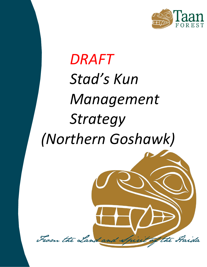

# *DRAFT Stad's Kun Management Strategy (Northern Goshawk)*

From the Land and Spirit of the Staida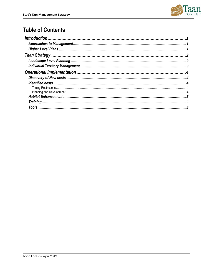

# **Table of Contents**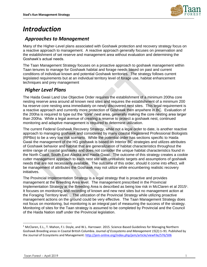

# <span id="page-2-0"></span>*Introduction*

## <span id="page-2-1"></span>*Approaches to Management*

Many of the Higher-Level plans associated with Goshawk protection and recovery strategy focus on a reactive approach to management. A reactive approach generally focuses on preservation and the establishment of set reserve and management area without evaluation and determining the Goshawk's actual needs.

The Taan Management Strategy focuses on a proactive approach to goshawk management within Taan tenures to manage for Goshawk habitat and forage needs based on past and current conditions of individual known and potential Goshawk territories. The strategy follows current legislated requirements but at an individual territory level of forage use, habitat enhancement techniques and prey management

## <span id="page-2-2"></span>*Higher Level Plans*

The Haida Gwaii Land Use Objective Order requires the establishment of a minimum 200ha core nesting reserve area around all known nest sites and requires the establishment of a minimum 200 ha reserve core nesting area immediately on newly discovered nest sites. This legal requirement is a reactive approach and currently more protection of Goshawk then anywhere in BC. Evaluation of the 200ha is required to type out the "core" nest area, generally making the core nesting area larger than 200ha. While a legal avenue of creating a reserve to protect a goshawk nest, continued monitoring and adaptive management is required to determine utilization.

The current Federal Goshawk Recovery Strategy, while not a legal order to date, is another reactive approach to managing goshawk and considered by many coastal Registered Professional Biologists (RPBio) to be a very low risk scenario. While the potential order has sections specific to Haida Gwaii the management of the HG goshawk is based on Interior BC strategies and utilizes attributes of Goshawk behavior and habitat that are generalization of habitat characteristics throughout the entire range of coastal goshawks and does not consider the unique habitat characteristics found in the North Coast, South East Alaska and Haida Gwaii. The outcome of this strategy creates a cookie cutter management approach to each nest site with unrealistic targets and assumptions of goshawk needs that are not necessarily available. The outcome of this order, should it come into effect, will be management of attributes the Goshawk may not utilize while encumbering realistic recovery initiatives.

The Provincial Implementation Strategy is a legal strategy that is proactive and provides management at the Breeding Area level. The management prescribed in the Provincial Implementation Strategy at the Breeding Area is described as being low risk in McClaren et al 2015<sup>1</sup>. It focuses on monitoring and recording of known and new nest sites but no management action at the Foraging Territory level. . The utilization of the Provincial Strategy while utilizing proactive management actions on the ground could be very effective. The Taan Management Strategy does not focus on monitoring, but monitoring is an integral part of measuring the success of the strategy. Monitoring of sites for the Taan strategy is assumed to be completed by Provincial and the Council of the Haida Nation staff under the Provincial legislation.

 $\overline{a}$ 

<sup>1</sup> McClaren, E.L., T. Mahon, F.I. Doyle, and W.L. Harrower. 2015. Science-Based Guidelines for Managing Northern Goshawk Breeding areas in Coastal British Columbia. *Journal of Ecosystems and Management 15*(2):1–91. Published by the Journal of Ecosystems and Management[: http://jem-online.org/index.php/jem/article/viewFile/576/506](http://jem-online.org/index.php/jem/article/viewFile/576/506)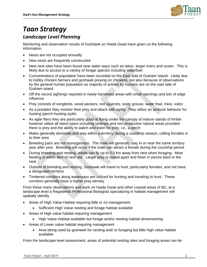

# <span id="page-3-1"></span><span id="page-3-0"></span>*Taan Strategy Landscape Level Planning*

Monitoring and observation results of Goshawk on Haida Gwaii have given us the following information

- Nests are not occupied annually
- New nests are frequently constructed
- New nest sites have been found near water ways such as lakes, larger rivers and ocean. This is likely due to access to a variety of forage species including waterfowl
- Concentrations of population have been recorded on the East side of Graham Island. Likely due to hobby chicken farmers and goshawk preying on chickens, but also because of observations by the general human population as majority of actives by humans are on the east side of Graham island
- Off the record sightings reported in newly harvested areas with small openings and lots of edge influence
- Prey consists of songbirds, wood peckers, red squirrels, sooty grouse, water fowl, mice, voles
- As a predator they monitor their prey and attack with agility. They utilize an ambush behavior for hunting (perch-hunting style).
- As agile fliers they are particularly good at flying under the canopy of mature stands of timber however utilize all stand types including swamps and non-productive natural areas provided there is prey and the ability to watch and listen for prey, i.e., a perch
- Males generally dominate and stay within a territory during a courtship season, calling females in to their area
- Breeding pairs are not monogamous. The male will generally stay in or near the same territory year after year. Breeding will occur if the male can attract a female during the courtship period
- During breeding and nesting, adults can fly up to 5.0 km away from nest when foraging. Most feeding is within 3km of nest site. Larger prey is ripped apart and flown in pieces back to the nest
- Outside of breeding and nesting, Goshawk will travel to hunt, particularly females, and not have a designated territory
- Timbered corridors along waterways are utilized for hunting and traveling to hunt. These corridors generally have a higher prey density

From these many observations and work on Haida Gwaii and other coastal areas of BC, at a landscape level a Registered Professional Biologists specializing in habitat management will spatially identify

- Areas of High Value Habitat requiring little or no management
	- Sufficient High Value nesting and forage habitat available
- Areas of High value habitat requiring management
	- High Value Habitat available but forage and/or nesting habitat dimensioning
- Areas of Lower value habitat requiring management
	- Area being used by goshawk for nesting and/ or foraging but little high value habitat available

From the landscape level assessment, areas of potential nesting sites and foraging areas can be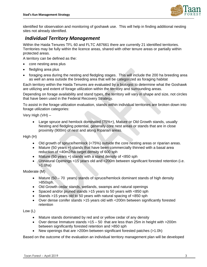

identified for observation and monitoring of goshawk use. This will help in finding additional nesting sites not already identified.

## <span id="page-4-0"></span>*Individual Territory Management*

Within the Haida Tenures TFL 60 and FLTC A87661 there are currently 21 identified territories. Territories may be fully within the licence areas, shared with other tenure areas or partially within protected areas.

A territory can be defined as the:

- core nesting area plus
- fledgling area plus
- foraging area during the nesting and fledgling stages. This will include the 200 ha breeding area as well an area outside the breeding area that will be categorized as foraging habitat

Each territory within the Haida Tenures are evaluated by a biologist to determine what the Goshawk are utilizing and extent of forage utilization within the territory and surrounding areas.

Depending on forage availability and stand types, the territory will vary in shape and size, not circles that have been used in the Federal Recovery Strategy.

To assist in the forage utilization evaluation, stands within individual territories are broken down into forage utilization categories:

Very High (VH) –

• Large spruce and hemlock dominated (75%+), Mature or Old Growth stands, usually Nesting and fledgling potential, generally core nest areas or stands that are in close proximity (900m) of nest and along Riparian areas.

High (H)

- Old growth of spruce/hemlock (<75%) outside the core nesting areas or riparian areas.
- Mature (50 years +) stands that have been commercially thinned with a basal area reduction of <40m2/ha target density of 600 sph
- Mature (50 years +) stands with a stand density of <850 sph
- Unnatural Openings <15 years old and <200m between significant forested retention (i.e. >1.0ha)

Moderate (M)

- Mature (50 70 years) stands of spruce/hemlock dominant stands of high density >850sph.
- Old Growth cedar stands, wetlands, swamps and natural openings
- Spaced and/or pruned stands >15 years to 50 years with <850 sph
- Stands >15 years old to 50 years with natural spacing of <850 sph
- Over dense conifer stands >15 years old with <200m between significantly forested retention

Low (L)

- Mature stands dominated by red and or yellow cedar of any density
- Over dense Immature stands  $>15-50$  that are less than 25m in height with  $>200$ m between significantly forested retention and >850 sph
- New openings that are >200m between significant forested patches (>1.0h)

Based on the outcome of the evaluation an individual territory management plan will be developed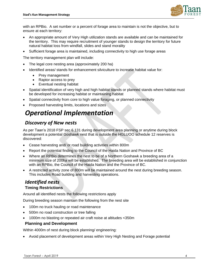

with an RPBio. A set number or a percent of forage area to maintain is not the objective, but to ensure at each territory:

- An appropriate amount of Very High utilization stands are available and can be maintained for the territory. This may require recruitment of younger stands to design the territory for future natural habitat loss from windfall, slides and stand morality
- Sufficient forage area is maintained, including connectivity to high use forage areas

The territory management plan will include:

- The legal core nesting area (approximately 200 ha)
- Identified areas/ stands for enhancement silviculture to increase habitat value for:
	- Prey management
	- Raptor access to prey
	- Eventual nesting habitat
- Spatial identification of very high and high habitat stands or planned stands where habitat must be developed for increasing habitat or maintaining habitat
- Spatial connectivity from core to high value foraging, or planned connectivity
- Proposed harvesting limits, locations and sizes

# <span id="page-5-0"></span>*Operational Implementation*

## <span id="page-5-1"></span>*Discovery of New nests*

As per Taan's 2018 FSP sec 6.131 during development area planning or anytime during block development a potential Goshawk nest that is outside the HGLUOO schedule 12 reserves is discovered:

- Cease harvesting and/ or road building activities within 800m
- Report the potential finding to the Council of the Haida Nation and Province of BC
- Where an RPBio determines the nest to be of a Northern Goshawk a breeding area of a minimum size of 200ha will be established. The breeding area will be established in conjunction with an RPBio, the Council of the Haida Nation and the Province of BC.
- A restricted activity zone of 800m will be maintained around the nest during breeding season. This includes Road building and harvesting operations.

#### <span id="page-5-3"></span><span id="page-5-2"></span>*Identified nests* **Timing Restrictions**

Around all identified nests the following restrictions apply

During breeding season maintain the following from the nest site

- 100m no truck hauling or road maintenance
- 500m no road construction or tree falling
- 1000m no blasting or repeated air craft noise at altitudes <350m

#### <span id="page-5-4"></span>**Planning and Development**

Within 4000m of nest during block planning/ engineering:

• Avoid placement of development areas within Very High Nesting and Forage potential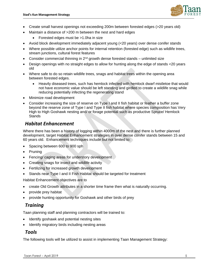

- Create small harvest openings not exceeding 200m between forested edges (>20 years old)
- Maintain a distance of >200 m between the nest and hard edges
	- Forested edges must be >1.0ha in size
- Avoid block development immediately adjacent young (<20 years) over dense conifer stands
- Where possible utilize anchor points for internal retention (forested edge) such as wildlife trees, stream junctions, cultural forest features
- Consider commercial thinning in  $2^{nd}$  growth dense forested stands unlimited size
- Design openings with no straight edges to allow for hunting along the edge of stands <20 years old
- Where safe to do so retain wildlife trees, snags and habitat trees within the opening area between forested edges.
	- Heavily diseased trees, such has hemlock infected with hemlock dwarf mistletoe that would not have economic value should be left standing and girdled to create a wildlife snag while reducing potentially infecting the regenerating stand
- Minimize road development
- Consider increasing the size of reserve on Type I and II fish habitat or feather a buffer zone beyond the reserve zone of Type I and Type II fish habitat where species composition has Very High to High Goshawk nesting and/ or forage potential such as productive Spruce/ Hemlock **Stands**

#### <span id="page-6-0"></span>*Habitat Enhancement*

Where there has been a history of logging within 4000m of the nest and there is further planned development, target Habitat Enhancement strategies in over dense conifer stands between 15 and 60 years old. Enhancement techniques include but not limited to:

- Spacing between 600 to 900 sph
- Pruning
- Fencing/ caging areas for understory development
- Creating snags for insect and wildlife activity
- Fertilizing for increased growth development
- Stands near Type I and II Fish Habitat should be targeted for treatment

Habitat Enhancement objectives are to

- create Old Growth attributes in a shorter time frame then what is naturally occurring.
- provide prey habitat
- provide hunting opportunity for Goshawk and other birds of prey

#### <span id="page-6-1"></span>*Training*

Taan planning staff and planning contractors will be trained to:

- Identify goshawk and potential nesting sites
- Identify migratory birds including nesting areas

### <span id="page-6-2"></span>*Tools*

The following tools will be utilized to assist in implementing Taan Management Strategy: